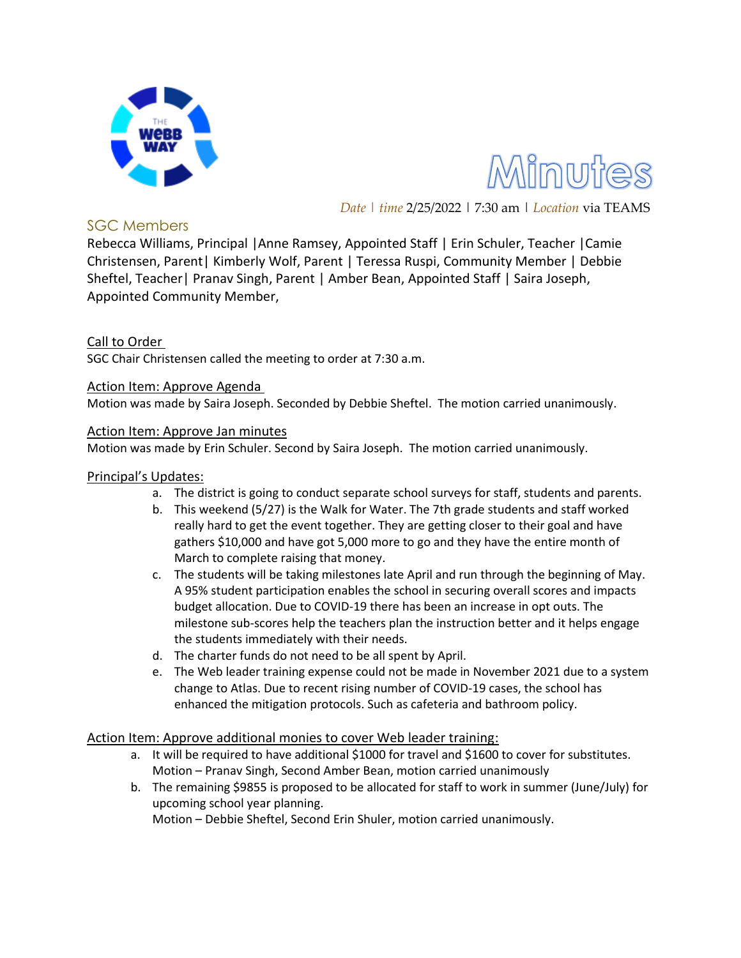

Minutes

*Date | time* 2/25/2022 | 7:30 am | *Location* via TEAMS

## SGC Members

Rebecca Williams, Principal |Anne Ramsey, Appointed Staff | Erin Schuler, Teacher |Camie Christensen, Parent| Kimberly Wolf, Parent | Teressa Ruspi, Community Member | Debbie Sheftel, Teacher| Pranav Singh, Parent | Amber Bean, Appointed Staff | Saira Joseph, Appointed Community Member,

## Call to Order

SGC Chair Christensen called the meeting to order at 7:30 a.m.

Action Item: Approve Agenda

Motion was made by Saira Joseph. Seconded by Debbie Sheftel. The motion carried unanimously.

#### Action Item: Approve Jan minutes

Motion was made by Erin Schuler. Second by Saira Joseph. The motion carried unanimously.

#### Principal's Updates:

- a. The district is going to conduct separate school surveys for staff, students and parents.
- b. This weekend (5/27) is the Walk for Water. The 7th grade students and staff worked really hard to get the event together. They are getting closer to their goal and have gathers \$10,000 and have got 5,000 more to go and they have the entire month of March to complete raising that money.
- c. The students will be taking milestones late April and run through the beginning of May. A 95% student participation enables the school in securing overall scores and impacts budget allocation. Due to COVID-19 there has been an increase in opt outs. The milestone sub-scores help the teachers plan the instruction better and it helps engage the students immediately with their needs.
- d. The charter funds do not need to be all spent by April.
- e. The Web leader training expense could not be made in November 2021 due to a system change to Atlas. Due to recent rising number of COVID-19 cases, the school has enhanced the mitigation protocols. Such as cafeteria and bathroom policy.

### Action Item: Approve additional monies to cover Web leader training:

- a. It will be required to have additional \$1000 for travel and \$1600 to cover for substitutes. Motion – Pranav Singh, Second Amber Bean, motion carried unanimously
- b. The remaining \$9855 is proposed to be allocated for staff to work in summer (June/July) for upcoming school year planning.

Motion – Debbie Sheftel, Second Erin Shuler, motion carried unanimously.